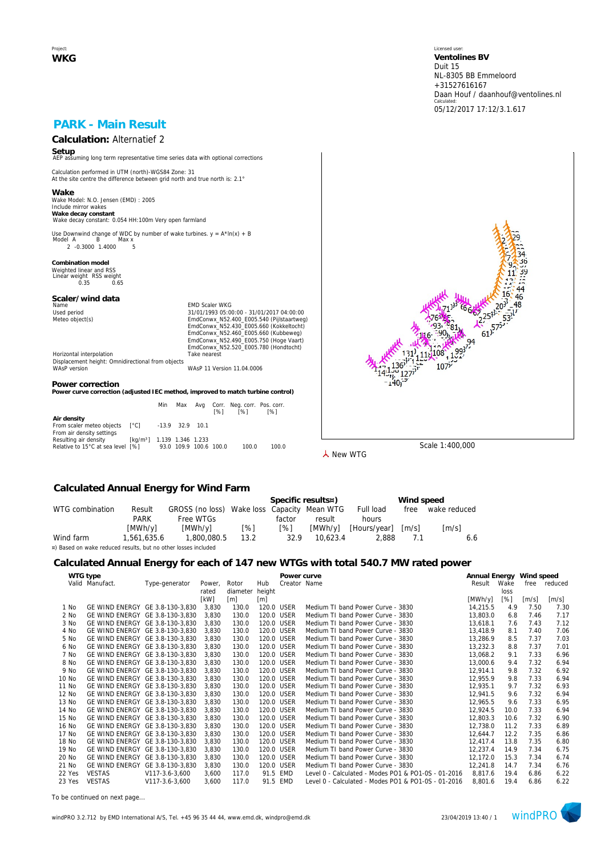Project: **WKG** Licensed user: **Ventolines BV**  Duit 15 NL-8305 BB Emmeloord +31527616167 Daan Houf / daanhouf@ventolines.nl Calculated: 05/12/2017 17:12/3.1.617

## **PARK - Main Result**

# **Calculation:** Alternatief 2

**Setup** AEP assuming long term representative time series data with optional corrections

Calculation performed in UTM (north)-WGS84 Zone: 31 At the site centre the difference between grid north and true north is: 2.1°

**Wake** Wake Model: N.O. Jensen (EMD) : 2005 Include mirror wakes **Wake decay constant** Wake decay constant: 0.054 HH:100m Very open farmland

Use Downwind change of WDC by number of wake turbines.  $y = A^* \ln(x) + B$ <br>Model A B Max x нег д. — Б. — тиах х.<br>2. -0.3000. 1.4000. — 5.

**Combination model** Weighted linear and RSS Linear weight RSS weight 0.35 0.65

# **Scaler/wind data**

Name Content of Maria Content of Maria Content Content Content Content Content Content Content Content Content<br>
Maria Content Content Content Content Content Content Content Content Content Content Content Content Content<br> Used period<br>
Meteo object(s)<br>
Meteo object(s)<br>
EmdConwx\_N52.400\_E005.540 (Pijlstaartweg)<br>
EmdConwx\_N52.400\_E005.660 (Kukbelweg)<br>
EmdConwx\_N52.460\_E005.660 (Kukbelweg)<br>
EmdConwx\_N52.490\_E005.750 (Hoge Vaart) EmdConwx\_N52.520\_E005.780 (Hondtocht) Horizontal interpolation Take nearest

Displacement height: Omnidirectional from objects WAsP version WAsP 11 Version 11.04.0006

#### **Power correction**

**Power curve correction (adjusted IEC method, improved to match turbine control)**

|                                                                            |                                        | Min                    | Max | [%] | Avg Corr. Neg. corr. Pos. corr.<br>[%] | [%]   |
|----------------------------------------------------------------------------|----------------------------------------|------------------------|-----|-----|----------------------------------------|-------|
| Air density<br>From scaler meteo objects [°C]<br>From air density settings |                                        | -13.9 32.9 10.1        |     |     |                                        |       |
| Resulting air density<br>Relative to 15°C at sea level [%]                 | [kg/m <sup>3</sup> ] 1.139 1.346 1.233 | 93.0 109.9 100.6 100.0 |     |     | 100.0                                  | 100.0 |



**人** New WTG

### **Calculated Annual Energy for Wind Farm**

|                                                                |             |                                             |      |            | Specific results¤) |              | Wind speed |                     |
|----------------------------------------------------------------|-------------|---------------------------------------------|------|------------|--------------------|--------------|------------|---------------------|
| WTG combination                                                | Result      | GROSS (no loss) Wake loss Capacity Mean WTG |      |            |                    | Full load    | free       | wake reduced        |
|                                                                | <b>PARK</b> | Free WTGs                                   |      | factor     | result             | hours        |            |                     |
|                                                                | [MWh/y]     | [MWh/v]                                     | [%]  | $\sqrt{8}$ | [MWh/v]            | [Hours/year] | [m/s]      | $\lceil m/s \rceil$ |
| Wind farm                                                      | 1.561.635.6 | 1.800.080.5                                 | 13.2 | 32.9       | 10.623.4           | 2.888        | 7.1        | 6.6                 |
| ¤) Based on wake reduced results, but no other losses included |             |                                             |      |            |                    |              |            |                     |

### **Calculated Annual Energy for each of 147 new WTGs with total 540.7 MW rated power**

|        | WTG type                        |                |        |          |            | Power curve  |                                                     | Annual Energy Wind speed |      |                     |         |
|--------|---------------------------------|----------------|--------|----------|------------|--------------|-----------------------------------------------------|--------------------------|------|---------------------|---------|
|        | Valid Manufact.                 | Type-generator | Power. | Rotor    | Hub        | Creator Name |                                                     | Result                   | Wake | free                | reduced |
|        |                                 |                | rated  | diameter | height     |              |                                                     |                          | loss |                     |         |
|        |                                 |                | [kW]   | [m]      | [m]        |              |                                                     | [MWh/y]                  | [%]  | $\lceil m/s \rceil$ | [m/s]   |
| 1 No   | GE WIND ENERGY GE 3.8-130-3.830 |                | 3,830  | 130.0    | 120.0 USER |              | Medium TI band Power Curve - 3830                   | 14.215.5                 | 4.9  | 7.50                | 7.30    |
| 2 No   | GE WIND ENERGY GE 3.8-130-3.830 |                | 3.830  | 130.0    | 120.0 USER |              | Medium TI band Power Curve - 3830                   | 13,803.0                 | 6.8  | 7.46                | 7.17    |
| 3 No   | GE WIND ENERGY GE 3.8-130-3,830 |                | 3.830  | 130.0    | 120.0 USER |              | Medium TI band Power Curve - 3830                   | 13,618.1                 | 7.6  | 7.43                | 7.12    |
| 4 No   | GE WIND ENERGY GE 3.8-130-3.830 |                | 3.830  | 130.0    |            | 120.0 USER   | Medium TI band Power Curve - 3830                   | 13,418.9                 | 8.1  | 7.40                | 7.06    |
| 5 No   | GE WIND ENERGY GE 3.8-130-3,830 |                | 3,830  | 130.0    | 120.0 USER |              | Medium TI band Power Curve - 3830                   | 13,286.9                 | 8.5  | 7.37                | 7.03    |
| 6 No   | GE WIND ENERGY GE 3.8-130-3.830 |                | 3.830  | 130.0    | 120.0 USER |              | Medium TI band Power Curve - 3830                   | 13,232.3                 | 8.8  | 7.37                | 7.01    |
| 7 No   | GE WIND ENERGY GE 3.8-130-3,830 |                | 3,830  | 130.0    |            | 120.0 USER   | Medium TI band Power Curve - 3830                   | 13,068.2                 | 9.1  | 7.33                | 6.96    |
| 8 No   | GE WIND ENERGY GE 3.8-130-3,830 |                | 3,830  | 130.0    |            | 120.0 USER   | Medium TI band Power Curve - 3830                   | 13,000.6                 | 9.4  | 7.32                | 6.94    |
| 9 No   | GE WIND ENERGY GE 3.8-130-3.830 |                | 3,830  | 130.0    |            | 120.0 USER   | Medium TI band Power Curve - 3830                   | 12.914.1                 | 9.8  | 7.32                | 6.92    |
| 10 No  | GE WIND ENERGY GE 3.8-130-3,830 |                | 3,830  | 130.0    |            | 120.0 USER   | Medium TI band Power Curve - 3830                   | 12,955.9                 | 9.8  | 7.33                | 6.94    |
| 11 No  | GE WIND ENERGY GE 3.8-130-3,830 |                | 3,830  | 130.0    |            | 120.0 USER   | Medium TI band Power Curve - 3830                   | 12.935.1                 | 9.7  | 7.32                | 6.93    |
| 12 No  | GE WIND ENERGY GE 3.8-130-3,830 |                | 3.830  | 130.0    | 120.0 USER |              | Medium TI band Power Curve - 3830                   | 12,941.5                 | 9.6  | 7.32                | 6.94    |
| 13 No  | GE WIND ENERGY GE 3.8-130-3.830 |                | 3.830  | 130.0    |            | 120.0 USER   | Medium TI band Power Curve - 3830                   | 12,965.5                 | 9.6  | 7.33                | 6.95    |
| 14 No  | GE WIND ENERGY GE 3.8-130-3.830 |                | 3.830  | 130.0    |            | 120.0 USER   | Medium TI band Power Curve - 3830                   | 12.924.5                 | 10.0 | 7.33                | 6.94    |
| 15 No  | GE WIND ENERGY GE 3.8-130-3,830 |                | 3,830  | 130.0    |            | 120.0 USER   | Medium TI band Power Curve - 3830                   | 12,803.3                 | 10.6 | 7.32                | 6.90    |
| 16 No  | GE WIND ENERGY GE 3.8-130-3,830 |                | 3,830  | 130.0    |            | 120.0 USER   | Medium TI band Power Curve - 3830                   | 12,738.0                 | 11.2 | 7.33                | 6.89    |
| 17 No  | GE WIND ENERGY GE 3.8-130-3.830 |                | 3.830  | 130.0    | 120.0 USER |              | Medium TI band Power Curve - 3830                   | 12,644.7                 | 12.2 | 7.35                | 6.86    |
| 18 No  | GE WIND ENERGY GE 3.8-130-3,830 |                | 3,830  | 130.0    |            | 120.0 USER   | Medium TI band Power Curve - 3830                   | 12.417.4                 | 13.8 | 7.35                | 6.80    |
| 19 No  | GE WIND ENERGY GE 3.8-130-3,830 |                | 3,830  | 130.0    | 120.0 USER |              | Medium TI band Power Curve - 3830                   | 12,237.4                 | 14.9 | 7.34                | 6.75    |
| 20 No  | GE WIND ENERGY GE 3.8-130-3.830 |                | 3,830  | 130.0    | 120.0 USER |              | Medium TI band Power Curve - 3830                   | 12,172.0                 | 15.3 | 7.34                | 6.74    |
| 21 No  | GE WIND ENERGY GE 3.8-130-3,830 |                | 3,830  | 130.0    |            | 120.0 USER   | Medium TI band Power Curve - 3830                   | 12,241.8                 | 14.7 | 7.34                | 6.76    |
| 22 Yes | <b>VESTAS</b>                   | V117-3.6-3.600 | 3,600  | 117.0    |            | 91.5 EMD     | Level 0 - Calculated - Modes PO1 & PO1-0S - 01-2016 | 8,817.6                  | 19.4 | 6.86                | 6.22    |
| 23 Yes | <b>VESTAS</b>                   | V117-3.6-3.600 | 3,600  | 117.0    |            | 91.5 EMD     | Level 0 - Calculated - Modes PO1 & PO1-0S - 01-2016 | 8.801.6                  | 19.4 | 6.86                | 6.22    |
|        |                                 |                |        |          |            |              |                                                     |                          |      |                     |         |

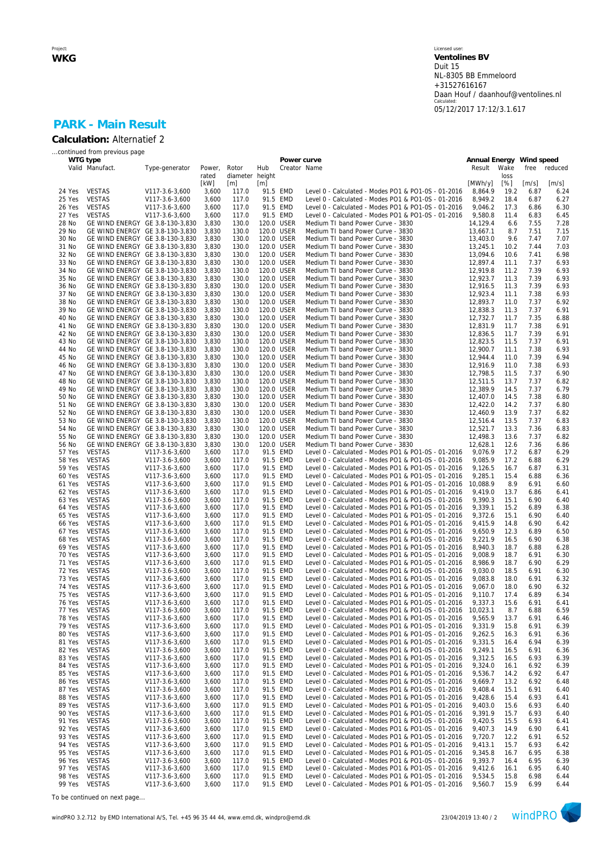#### Licensed user: **Ventolines BV**  Duit 15 NL-8305 BB Emmeloord +31527616167 Daan Houf / daanhouf@ventolines.nl Calculated: 05/12/2017 17:12/3.1.617

## **PARK - Main Result Calculation:** Alternatief 2

|                  | continued from previous page                                       |                                  |                 |                          |     |                          |                                                                                                            |                          |              |              |              |
|------------------|--------------------------------------------------------------------|----------------------------------|-----------------|--------------------------|-----|--------------------------|------------------------------------------------------------------------------------------------------------|--------------------------|--------------|--------------|--------------|
|                  | WTG type                                                           |                                  |                 |                          |     | Power curve              |                                                                                                            | Annual Energy Wind speed |              |              |              |
|                  | Valid Manufact.                                                    | Type-generator                   | Power,<br>rated | Rotor<br>diameter height | Hub | Creator Name             |                                                                                                            | Result                   | Wake<br>loss | free         | reduced      |
|                  |                                                                    |                                  | [kW]            | [m]                      | [m] |                          |                                                                                                            | [MWh/y]                  | [%]          | [m/s]        | [m/s]        |
| 24 Yes           | <b>VESTAS</b>                                                      | V117-3.6-3,600                   | 3,600           | 117.0                    |     | 91.5 EMD                 | Level 0 - Calculated - Modes PO1 & PO1-0S - 01-2016                                                        | 8,864.9                  | 19.2         | 6.87         | 6.24         |
| 25 Yes           | <b>VESTAS</b>                                                      | V117-3.6-3,600                   | 3,600           | 117.0                    |     | 91.5 EMD                 | Level 0 - Calculated - Modes PO1 & PO1-0S - 01-2016                                                        | 8,949.2                  | 18.4         | 6.87         | 6.27         |
| 26 Yes<br>27 Yes | <b>VESTAS</b><br><b>VESTAS</b>                                     | V117-3.6-3,600<br>V117-3.6-3,600 | 3,600<br>3,600  | 117.0<br>117.0           |     | 91.5 EMD<br>91.5 EMD     | Level 0 - Calculated - Modes PO1 & PO1-0S - 01-2016<br>Level 0 - Calculated - Modes PO1 & PO1-0S - 01-2016 | 9,046.2<br>9,580.8       | 17.3<br>11.4 | 6.86<br>6.83 | 6.30<br>6.45 |
| 28 No            | GE WIND ENERGY GE 3.8-130-3,830                                    |                                  | 3,830           | 130.0                    |     | 120.0 USER               | Medium TI band Power Curve - 3830                                                                          | 14,129.4                 | 6.6          | 7.55         | 7.28         |
| 29 No            | GE WIND ENERGY GE 3.8-130-3,830                                    |                                  | 3,830           | 130.0                    |     | 120.0 USER               | Medium TI band Power Curve - 3830                                                                          | 13,667.1                 | 8.7          | 7.51         | 7.15         |
| 30 No            | GE WIND ENERGY GE 3.8-130-3,830                                    |                                  | 3,830           | 130.0                    |     | 120.0 USER               | Medium TI band Power Curve - 3830                                                                          | 13,403.0                 | 9.6          | 7.47         | 7.07         |
| 31 No            | GE WIND ENERGY GE 3.8-130-3,830                                    |                                  | 3,830           | 130.0                    |     | 120.0 USER               | Medium TI band Power Curve - 3830                                                                          | 13,245.1                 | 10.2         | 7.44         | 7.03         |
| 32 No<br>33 No   | GE WIND ENERGY GE 3.8-130-3,830<br>GE WIND ENERGY GE 3.8-130-3,830 |                                  | 3,830<br>3,830  | 130.0<br>130.0           |     | 120.0 USER<br>120.0 USER | Medium TI band Power Curve - 3830<br>Medium TI band Power Curve - 3830                                     | 13,094.6<br>12.897.4     | 10.6<br>11.1 | 7.41<br>7.37 | 6.98<br>6.93 |
| 34 No            | GE WIND ENERGY GE 3.8-130-3,830                                    |                                  | 3,830           | 130.0                    |     | 120.0 USER               | Medium TI band Power Curve - 3830                                                                          | 12,919.8                 | 11.2         | 7.39         | 6.93         |
| 35 No            | GE WIND ENERGY GE 3.8-130-3,830                                    |                                  | 3,830           | 130.0                    |     | 120.0 USER               | Medium TI band Power Curve - 3830                                                                          | 12,923.7                 | 11.3         | 7.39         | 6.93         |
| 36 No            | GE WIND ENERGY GE 3.8-130-3,830                                    |                                  | 3,830           | 130.0                    |     | 120.0 USER               | Medium TI band Power Curve - 3830                                                                          | 12.916.5                 | 11.3         | 7.39         | 6.93         |
| 37 No            | GE WIND ENERGY GE 3.8-130-3,830                                    |                                  | 3,830           | 130.0                    |     | 120.0 USER               | Medium TI band Power Curve - 3830                                                                          | 12,923.4                 | 11.1         | 7.38         | 6.93         |
| 38 No<br>39 No   | GE WIND ENERGY GE 3.8-130-3,830<br>GE WIND ENERGY GE 3.8-130-3,830 |                                  | 3,830<br>3,830  | 130.0<br>130.0           |     | 120.0 USER<br>120.0 USER | Medium TI band Power Curve - 3830<br>Medium TI band Power Curve - 3830                                     | 12,893.7<br>12,838.3     | 11.0<br>11.3 | 7.37<br>7.37 | 6.92<br>6.91 |
| 40 No            | GE WIND ENERGY GE 3.8-130-3,830                                    |                                  | 3,830           | 130.0                    |     | 120.0 USER               | Medium TI band Power Curve - 3830                                                                          | 12,732.7                 | 11.7         | 7.35         | 6.88         |
| 41 No            | GE WIND ENERGY GE 3.8-130-3,830                                    |                                  | 3,830           | 130.0                    |     | 120.0 USER               | Medium TI band Power Curve - 3830                                                                          | 12,831.9                 | 11.7         | 7.38         | 6.91         |
| 42 No            | GE WIND ENERGY GE 3.8-130-3,830                                    |                                  | 3,830           | 130.0                    |     | 120.0 USER               | Medium TI band Power Curve - 3830                                                                          | 12,836.5                 | 11.7         | 7.39         | 6.91         |
| 43 No            | GE WIND ENERGY GE 3.8-130-3,830                                    |                                  | 3,830           | 130.0                    |     | 120.0 USER               | Medium TI band Power Curve - 3830                                                                          | 12,823.5<br>12.900.7     | 11.5         | 7.37         | 6.91         |
| 44 No<br>45 No   | GE WIND ENERGY GE 3.8-130-3,830<br>GE WIND ENERGY GE 3.8-130-3,830 |                                  | 3,830<br>3,830  | 130.0<br>130.0           |     | 120.0 USER<br>120.0 USER | Medium TI band Power Curve - 3830<br>Medium TI band Power Curve - 3830                                     | 12,944.4                 | 11.1<br>11.0 | 7.38<br>7.39 | 6.93<br>6.94 |
| 46 No            | GE WIND ENERGY GE 3.8-130-3,830                                    |                                  | 3,830           | 130.0                    |     | 120.0 USER               | Medium TI band Power Curve - 3830                                                                          | 12,916.9                 | 11.0         | 7.38         | 6.93         |
| 47 No            | GE WIND ENERGY GE 3.8-130-3,830                                    |                                  | 3,830           | 130.0                    |     | 120.0 USER               | Medium TI band Power Curve - 3830                                                                          | 12,798.5                 | 11.5         | 7.37         | 6.90         |
| 48 No            | GE WIND ENERGY GE 3.8-130-3,830                                    |                                  | 3,830           | 130.0                    |     | 120.0 USER               | Medium TI band Power Curve - 3830                                                                          | 12,511.5                 | 13.7         | 7.37         | 6.82         |
| 49 No            | GE WIND ENERGY GE 3.8-130-3,830                                    |                                  | 3,830           | 130.0                    |     | 120.0 USER<br>120.0 USER | Medium TI band Power Curve - 3830                                                                          | 12,389.9<br>12,407.0     | 14.5         | 7.37<br>7.38 | 6.79         |
| 50 No<br>51 No   | GE WIND ENERGY GE 3.8-130-3,830<br>GE WIND ENERGY GE 3.8-130-3,830 |                                  | 3,830<br>3,830  | 130.0<br>130.0           |     | 120.0 USER               | Medium TI band Power Curve - 3830<br>Medium TI band Power Curve - 3830                                     | 12,422.0                 | 14.5<br>14.2 | 7.37         | 6.80<br>6.80 |
| 52 No            | GE WIND ENERGY GE 3.8-130-3,830                                    |                                  | 3,830           | 130.0                    |     | 120.0 USER               | Medium TI band Power Curve - 3830                                                                          | 12,460.9                 | 13.9         | 7.37         | 6.82         |
| 53 No            | GE WIND ENERGY GE 3.8-130-3,830                                    |                                  | 3,830           | 130.0                    |     | 120.0 USER               | Medium TI band Power Curve - 3830                                                                          | 12,516.4                 | 13.5         | 7.37         | 6.83         |
| 54 No            | GE WIND ENERGY GE 3.8-130-3,830                                    |                                  | 3,830           | 130.0                    |     | 120.0 USER               | Medium TI band Power Curve - 3830                                                                          | 12,521.7                 | 13.3         | 7.36         | 6.83         |
| 55 No<br>56 No   | GE WIND ENERGY GE 3.8-130-3,830<br>GE WIND ENERGY GE 3.8-130-3,830 |                                  | 3,830           | 130.0<br>130.0           |     | 120.0 USER<br>120.0 USER | Medium TI band Power Curve - 3830<br>Medium TI band Power Curve - 3830                                     | 12,498.3<br>12,628.1     | 13.6<br>12.6 | 7.37<br>7.36 | 6.82<br>6.86 |
| 57 Yes           | <b>VESTAS</b>                                                      | V117-3.6-3,600                   | 3,830<br>3,600  | 117.0                    |     | 91.5 EMD                 | Level 0 - Calculated - Modes PO1 & PO1-0S - 01-2016                                                        | 9,076.9                  | 17.2         | 6.87         | 6.29         |
| 58 Yes           | <b>VESTAS</b>                                                      | V117-3.6-3,600                   | 3,600           | 117.0                    |     | 91.5 EMD                 | Level 0 - Calculated - Modes PO1 & PO1-0S - 01-2016                                                        | 9,085.9                  | 17.2         | 6.88         | 6.29         |
| 59 Yes           | <b>VESTAS</b>                                                      | V117-3.6-3,600                   | 3,600           | 117.0                    |     | 91.5 EMD                 | Level 0 - Calculated - Modes PO1 & PO1-0S - 01-2016                                                        | 9,126.5                  | 16.7         | 6.87         | 6.31         |
| 60 Yes           | <b>VESTAS</b>                                                      | V117-3.6-3,600                   | 3,600           | 117.0                    |     | 91.5 EMD                 | Level 0 - Calculated - Modes PO1 & PO1-0S - 01-2016                                                        | 9,285.1                  | 15.4         | 6.88         | 6.36         |
| 61 Yes<br>62 Yes | <b>VESTAS</b><br><b>VESTAS</b>                                     | V117-3.6-3,600<br>V117-3.6-3,600 | 3,600<br>3,600  | 117.0<br>117.0           |     | 91.5 EMD<br>91.5 EMD     | Level 0 - Calculated - Modes PO1 & PO1-0S - 01-2016<br>Level 0 - Calculated - Modes PO1 & PO1-0S - 01-2016 | 10,088.9<br>9,419.0      | 8.9<br>13.7  | 6.91<br>6.86 | 6.60<br>6.41 |
| 63 Yes           | <b>VESTAS</b>                                                      | V117-3.6-3,600                   | 3,600           | 117.0                    |     | 91.5 EMD                 | Level 0 - Calculated - Modes PO1 & PO1-0S - 01-2016                                                        | 9,390.3                  | 15.1         | 6.90         | 6.40         |
| 64 Yes           | <b>VESTAS</b>                                                      | V117-3.6-3,600                   | 3,600           | 117.0                    |     | 91.5 EMD                 | Level 0 - Calculated - Modes PO1 & PO1-0S - 01-2016                                                        | 9,339.1                  | 15.2         | 6.89         | 6.38         |
| 65 Yes           | <b>VESTAS</b>                                                      | V117-3.6-3,600                   | 3,600           | 117.0                    |     | 91.5 EMD                 | Level 0 - Calculated - Modes PO1 & PO1-0S - 01-2016                                                        | 9,372.6                  | 15.1         | 6.90         | 6.40         |
| 66 Yes           | <b>VESTAS</b>                                                      | V117-3.6-3,600                   | 3,600           | 117.0                    |     | 91.5 EMD                 | Level 0 - Calculated - Modes PO1 & PO1-0S - 01-2016                                                        | 9,415.9                  | 14.8         | 6.90         | 6.42         |
| 67 Yes<br>68 Yes | <b>VESTAS</b><br><b>VESTAS</b>                                     | V117-3.6-3,600<br>V117-3.6-3,600 | 3,600<br>3,600  | 117.0<br>117.0           |     | 91.5 EMD<br>91.5 EMD     | Level 0 - Calculated - Modes PO1 & PO1-0S - 01-2016<br>Level 0 - Calculated - Modes PO1 & PO1-0S - 01-2016 | 9,650.9<br>9,221.9       | 12.3<br>16.5 | 6.89<br>6.90 | 6.50<br>6.38 |
| 69 Yes           | <b>VESTAS</b>                                                      | V117-3.6-3,600                   | 3,600           | 117.0                    |     | 91.5 EMD                 | Level 0 - Calculated - Modes PO1 & PO1-0S - 01-2016                                                        | 8,940.3                  | 18.7         | 6.88         | 6.28         |
| 70 Yes           | <b>VESTAS</b>                                                      | V117-3.6-3,600                   | 3,600           | 117.0                    |     | 91.5 EMD                 | Level 0 - Calculated - Modes PO1 & PO1-0S - 01-2016                                                        | 9,008.9                  | 18.7         | 6.91         | 6.30         |
| 71 Yes           | <b>VESTAS</b>                                                      | V117-3.6-3,600                   | 3,600           | 117.0                    |     | 91.5 EMD                 | Level 0 - Calculated - Modes PO1 & PO1-0S - 01-2016                                                        | 8,986.9                  | 18.7         | 6.90         | 6.29         |
| 72 Yes<br>73 Yes | <b>VESTAS</b><br><b>VESTAS</b>                                     | V117-3.6-3,600<br>V117-3.6-3,600 | 3,600<br>3,600  | 117.0<br>117.0           |     | 91.5 EMD<br>91.5 EMD     | Level 0 - Calculated - Modes PO1 & PO1-0S - 01-2016<br>Level 0 - Calculated - Modes PO1 & PO1-0S - 01-2016 | 9,030.0<br>9,083.8       | 18.5<br>18.0 | 6.91<br>6.91 | 6.30<br>6.32 |
| 74 Yes           | <b>VESTAS</b>                                                      | V117-3.6-3,600                   | 3,600           | 117.0                    |     | 91.5 EMD                 | Level 0 - Calculated - Modes PO1 & PO1-0S - 01-2016                                                        | 9,067.0                  | 18.0         | 6.90         | 6.32         |
| 75 Yes           | <b>VESTAS</b>                                                      | V117-3.6-3,600                   | 3,600           | 117.0                    |     | 91.5 EMD                 | Level 0 - Calculated - Modes PO1 & PO1-0S - 01-2016                                                        | 9,110.7                  | 17.4         | 6.89         | 6.34         |
| 76 Yes           | VESTAS                                                             | V117-3.6-3,600                   | 3,600           | 117.0                    |     | 91.5 EMD                 | Level 0 - Calculated - Modes PO1 & PO1-0S - 01-2016                                                        | 9,337.3                  | 15.6         | 6.91         | 6.41         |
| 77 Yes           | VESTAS                                                             | V117-3.6-3,600                   | 3,600           | 117.0                    |     | 91.5 EMD                 | Level 0 - Calculated - Modes PO1 & PO1-0S - 01-2016 10,023.1                                               |                          | 8.7          | 6.88         | 6.59         |
| 78 Yes<br>79 Yes | VESTAS<br><b>VESTAS</b>                                            | V117-3.6-3,600<br>V117-3.6-3,600 | 3,600<br>3,600  | 117.0<br>117.0           |     | 91.5 EMD<br>91.5 EMD     | Level 0 - Calculated - Modes PO1 & PO1-0S - 01-2016<br>Level 0 - Calculated - Modes PO1 & PO1-0S - 01-2016 | 9,565.9<br>9,331.9       | 13.7<br>15.8 | 6.91<br>6.91 | 6.46<br>6.39 |
| 80 Yes           | <b>VESTAS</b>                                                      | V117-3.6-3,600                   | 3,600           | 117.0                    |     | 91.5 EMD                 | Level 0 - Calculated - Modes PO1 & PO1-0S - 01-2016                                                        | 9,262.5                  | 16.3         | 6.91         | 6.36         |
| 81 Yes           | <b>VESTAS</b>                                                      | V117-3.6-3,600                   | 3,600           | 117.0                    |     | 91.5 EMD                 | Level 0 - Calculated - Modes PO1 & PO1-0S - 01-2016                                                        | 9,331.5                  | 16.4         | 6.94         | 6.39         |
| 82 Yes           | <b>VESTAS</b>                                                      | V117-3.6-3,600                   | 3,600           | 117.0                    |     | 91.5 EMD                 | Level 0 - Calculated - Modes PO1 & PO1-0S - 01-2016                                                        | 9,249.1                  | 16.5         | 6.91         | 6.36         |
| 83 Yes           | <b>VESTAS</b><br><b>VESTAS</b>                                     | V117-3.6-3,600<br>V117-3.6-3,600 | 3,600           | 117.0                    |     | 91.5 EMD<br>91.5 EMD     | Level 0 - Calculated - Modes PO1 & PO1-0S - 01-2016<br>Level 0 - Calculated - Modes PO1 & PO1-0S - 01-2016 | 9,312.5<br>9,324.0       | 16.5         | 6.93         | 6.39<br>6.39 |
| 84 Yes<br>85 Yes | <b>VESTAS</b>                                                      | V117-3.6-3,600                   | 3,600<br>3,600  | 117.0<br>117.0           |     | 91.5 EMD                 | Level 0 - Calculated - Modes PO1 & PO1-0S - 01-2016                                                        | 9,536.7                  | 16.1<br>14.2 | 6.92<br>6.92 | 6.47         |
| 86 Yes           | <b>VESTAS</b>                                                      | V117-3.6-3,600                   | 3,600           | 117.0                    |     | 91.5 EMD                 | Level 0 - Calculated - Modes PO1 & PO1-0S - 01-2016                                                        | 9,669.7                  | 13.2         | 6.92         | 6.48         |
| 87 Yes           | <b>VESTAS</b>                                                      | V117-3.6-3,600                   | 3,600           | 117.0                    |     | 91.5 EMD                 | Level 0 - Calculated - Modes PO1 & PO1-0S - 01-2016                                                        | 9,408.4                  | 15.1         | 6.91         | 6.40         |
| 88 Yes           | <b>VESTAS</b>                                                      | V117-3.6-3,600                   | 3,600           | 117.0                    |     | 91.5 EMD                 | Level 0 - Calculated - Modes PO1 & PO1-0S - 01-2016                                                        | 9,428.6                  | 15.4         | 6.93         | 6.41         |
| 89 Yes<br>90 Yes | <b>VESTAS</b><br><b>VESTAS</b>                                     | V117-3.6-3,600<br>V117-3.6-3,600 | 3,600<br>3,600  | 117.0<br>117.0           |     | 91.5 EMD<br>91.5 EMD     | Level 0 - Calculated - Modes PO1 & PO1-0S - 01-2016<br>Level 0 - Calculated - Modes PO1 & PO1-0S - 01-2016 | 9,403.0<br>9,391.9       | 15.6<br>15.7 | 6.93<br>6.93 | 6.40<br>6.40 |
| 91 Yes           | <b>VESTAS</b>                                                      | V117-3.6-3,600                   | 3,600           | 117.0                    |     | 91.5 EMD                 | Level 0 - Calculated - Modes PO1 & PO1-0S - 01-2016                                                        | 9,420.5                  | 15.5         | 6.93         | 6.41         |
| 92 Yes           | <b>VESTAS</b>                                                      | V117-3.6-3,600                   | 3,600           | 117.0                    |     | 91.5 EMD                 | Level 0 - Calculated - Modes PO1 & PO1-0S - 01-2016                                                        | 9,407.3                  | 14.9         | 6.90         | 6.41         |
| 93 Yes           | <b>VESTAS</b>                                                      | V117-3.6-3,600                   | 3,600           | 117.0                    |     | 91.5 EMD                 | Level 0 - Calculated - Modes PO1 & PO1-0S - 01-2016                                                        | 9,720.7                  | 12.2         | 6.91         | 6.52         |
| 94 Yes           | <b>VESTAS</b>                                                      | V117-3.6-3,600                   | 3,600           | 117.0                    |     | 91.5 EMD                 | Level 0 - Calculated - Modes PO1 & PO1-0S - 01-2016                                                        | 9,413.1                  | 15.7         | 6.93         | 6.42         |
| 95 Yes           | VESTAS                                                             | V117-3.6-3,600                   | 3,600           | 117.0                    |     | 91.5 EMD                 | Level 0 - Calculated - Modes PO1 & PO1-0S - 01-2016                                                        | 9,345.8                  | 16.7         | 6.95         | 6.38         |
| 96 Yes<br>97 Yes | <b>VESTAS</b><br><b>VESTAS</b>                                     | V117-3.6-3,600<br>V117-3.6-3,600 | 3,600<br>3,600  | 117.0<br>117.0           |     | 91.5 EMD<br>91.5 EMD     | Level 0 - Calculated - Modes PO1 & PO1-0S - 01-2016<br>Level 0 - Calculated - Modes PO1 & PO1-0S - 01-2016 | 9,393.7<br>9,412.6       | 16.4<br>16.1 | 6.95<br>6.95 | 6.39<br>6.40 |
| 98 Yes           | <b>VESTAS</b>                                                      | V117-3.6-3,600                   | 3,600           | 117.0                    |     | 91.5 EMD                 | Level 0 - Calculated - Modes PO1 & PO1-0S - 01-2016                                                        | 9,534.5                  | 15.8         | 6.98         | 6.44         |
| 99 Yes           | VESTAS                                                             | V117-3.6-3,600                   | 3,600           | 117.0                    |     | 91.5 EMD                 | Level 0 - Calculated - Modes PO1 & PO1-0S - 01-2016                                                        | 9,560.7                  | 15.9         | 6.99         | 6.44         |

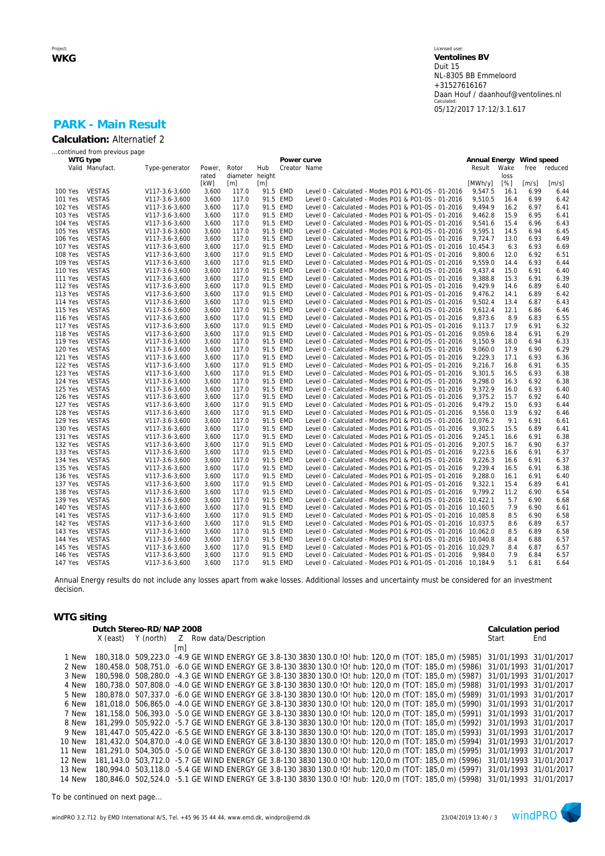# **PARK - Main Result**

*...continued from previous page*

|         | WTG type        |                |        |                   |          | Power curve  |                                                              | Annual Energy |      | Wind speed          |                     |
|---------|-----------------|----------------|--------|-------------------|----------|--------------|--------------------------------------------------------------|---------------|------|---------------------|---------------------|
|         | Valid Manufact. | Type-generator | Power, | Rotor             | Hub      | Creator Name |                                                              | Result        | Wake | free                | reduced             |
|         |                 |                | rated  | diameter height   |          |              |                                                              |               | loss |                     |                     |
|         |                 |                | [kW]   | $\lceil m \rceil$ | [m]      |              |                                                              | [MWh/y]       | [%]  | $\lceil m/s \rceil$ | $\lceil m/s \rceil$ |
| 100 Yes | <b>VESTAS</b>   | V117-3.6-3,600 | 3,600  | 117.0             |          | 91.5 EMD     | Level 0 - Calculated - Modes PO1 & PO1-0S - 01-2016          | 9,547.5       | 16.1 | 6.99                | 6.44                |
| 101 Yes | <b>VESTAS</b>   | V117-3.6-3,600 | 3,600  | 117.0             |          | 91.5 EMD     | Level 0 - Calculated - Modes PO1 & PO1-0S - 01-2016          | 9,510.5       | 16.4 | 6.99                | 6.42                |
| 102 Yes | <b>VESTAS</b>   | V117-3.6-3,600 | 3,600  | 117.0             |          | 91.5 EMD     | Level 0 - Calculated - Modes PO1 & PO1-0S - 01-2016          | 9.494.9       | 16.2 | 6.97                | 6.41                |
| 103 Yes | <b>VESTAS</b>   | V117-3.6-3,600 | 3,600  | 117.0             |          | 91.5 EMD     | Level 0 - Calculated - Modes PO1 & PO1-0S - 01-2016          | 9,462.8       | 15.9 | 6.95                | 6.41                |
| 104 Yes | <b>VESTAS</b>   | V117-3.6-3,600 | 3,600  | 117.0             | 91.5 EMD |              | Level 0 - Calculated - Modes PO1 & PO1-0S - 01-2016          | 9,541.6       | 15.4 | 6.96                | 6.43                |
| 105 Yes | <b>VESTAS</b>   | V117-3.6-3,600 | 3,600  | 117.0             |          | 91.5 EMD     | Level 0 - Calculated - Modes PO1 & PO1-0S - 01-2016          | 9,595.1       | 14.5 | 6.94                | 6.45                |
| 106 Yes | <b>VESTAS</b>   |                | 3,600  | 117.0             |          | 91.5 EMD     | Level 0 - Calculated - Modes PO1 & PO1-0S - 01-2016          | 9.724.7       | 13.0 | 6.93                | 6.49                |
|         |                 | V117-3.6-3,600 |        |                   |          |              |                                                              |               |      |                     |                     |
| 107 Yes | <b>VESTAS</b>   | V117-3.6-3,600 | 3,600  | 117.0             |          | 91.5 EMD     | Level 0 - Calculated - Modes PO1 & PO1-0S - 01-2016          | 10,454.3      | 6.3  | 6.93                | 6.69                |
| 108 Yes | <b>VESTAS</b>   | V117-3.6-3,600 | 3,600  | 117.0             |          | 91.5 EMD     | Level 0 - Calculated - Modes PO1 & PO1-0S - 01-2016          | 9,800.6       | 12.0 | 6.92                | 6.51                |
| 109 Yes | <b>VESTAS</b>   | V117-3.6-3,600 | 3,600  | 117.0             | 91.5 EMD |              | Level 0 - Calculated - Modes PO1 & PO1-0S - 01-2016          | 9,559.0       | 14.4 | 6.93                | 6.44                |
| 110 Yes | <b>VESTAS</b>   | V117-3.6-3,600 | 3,600  | 117.0             | 91.5 EMD |              | Level 0 - Calculated - Modes PO1 & PO1-0S - 01-2016          | 9,437.4       | 15.0 | 6.91                | 6.40                |
| 111 Yes | <b>VESTAS</b>   | V117-3.6-3,600 | 3,600  | 117.0             |          | 91.5 EMD     | Level 0 - Calculated - Modes PO1 & PO1-0S - 01-2016          | 9,388.8       | 15.3 | 6.91                | 6.39                |
| 112 Yes | <b>VESTAS</b>   | V117-3.6-3,600 | 3,600  | 117.0             | 91.5 EMD |              | Level 0 - Calculated - Modes PO1 & PO1-0S - 01-2016          | 9.429.9       | 14.6 | 6.89                | 6.40                |
| 113 Yes | <b>VESTAS</b>   | V117-3.6-3,600 | 3,600  | 117.0             |          | 91.5 EMD     | Level 0 - Calculated - Modes PO1 & PO1-0S - 01-2016          | 9,476.2       | 14.1 | 6.89                | 6.42                |
| 114 Yes | <b>VESTAS</b>   | V117-3.6-3,600 | 3,600  | 117.0             |          | 91.5 EMD     | Level 0 - Calculated - Modes PO1 & PO1-0S - 01-2016          | 9,502.4       | 13.4 | 6.87                | 6.43                |
| 115 Yes | <b>VESTAS</b>   | V117-3.6-3,600 | 3,600  | 117.0             |          | 91.5 EMD     | Level 0 - Calculated - Modes PO1 & PO1-0S - 01-2016          | 9,612.4       | 12.1 | 6.86                | 6.46                |
| 116 Yes | <b>VESTAS</b>   | V117-3.6-3,600 | 3,600  | 117.0             | 91.5 EMD |              | Level 0 - Calculated - Modes PO1 & PO1-0S - 01-2016          | 9,873.6       | 8.9  | 6.83                | 6.55                |
| 117 Yes | <b>VESTAS</b>   | V117-3.6-3,600 | 3,600  | 117.0             |          | 91.5 EMD     | Level 0 - Calculated - Modes PO1 & PO1-0S - 01-2016          | 9,113.7       | 17.9 | 6.91                | 6.32                |
| 118 Yes | <b>VESTAS</b>   | V117-3.6-3,600 | 3,600  | 117.0             |          | 91.5 EMD     | Level 0 - Calculated - Modes PO1 & PO1-0S - 01-2016          | 9.059.6       | 18.4 | 6.91                | 6.29                |
| 119 Yes | <b>VESTAS</b>   | V117-3.6-3,600 | 3,600  | 117.0             | 91.5 EMD |              | Level 0 - Calculated - Modes PO1 & PO1-0S - 01-2016          | 9,150.9       | 18.0 | 6.94                | 6.33                |
| 120 Yes | <b>VESTAS</b>   | V117-3.6-3,600 | 3,600  | 117.0             | 91.5 EMD |              | Level 0 - Calculated - Modes PO1 & PO1-0S - 01-2016          | 9.060.0       | 17.9 | 6.90                | 6.29                |
| 121 Yes | <b>VESTAS</b>   | V117-3.6-3,600 | 3,600  | 117.0             |          | 91.5 EMD     | Level 0 - Calculated - Modes PO1 & PO1-0S - 01-2016          | 9,229.3       | 17.1 | 6.93                | 6.36                |
| 122 Yes | <b>VESTAS</b>   | V117-3.6-3,600 | 3,600  | 117.0             |          | 91.5 EMD     | Level 0 - Calculated - Modes PO1 & PO1-0S - 01-2016          | 9,216.7       | 16.8 | 6.91                | 6.35                |
| 123 Yes | <b>VESTAS</b>   | V117-3.6-3,600 | 3,600  | 117.0             | 91.5 EMD |              | Level 0 - Calculated - Modes PO1 & PO1-0S - 01-2016          | 9,301.5       | 16.5 | 6.93                | 6.38                |
| 124 Yes | <b>VESTAS</b>   | V117-3.6-3,600 | 3.600  | 117.0             | 91.5 EMD |              | Level 0 - Calculated - Modes PO1 & PO1-0S - 01-2016          | 9.298.0       | 16.3 | 6.92                | 6.38                |
| 125 Yes | <b>VESTAS</b>   | V117-3.6-3,600 | 3,600  | 117.0             | 91.5 EMD |              | Level 0 - Calculated - Modes PO1 & PO1-0S - 01-2016          | 9,372.9       | 16.0 | 6.93                | 6.40                |
|         |                 |                |        |                   |          |              |                                                              |               |      |                     |                     |
| 126 Yes | <b>VESTAS</b>   | V117-3.6-3,600 | 3,600  | 117.0             | 91.5 EMD |              | Level 0 - Calculated - Modes PO1 & PO1-0S - 01-2016          | 9,375.2       | 15.7 | 6.92                | 6.40                |
| 127 Yes | <b>VESTAS</b>   | V117-3.6-3,600 | 3,600  | 117.0             | 91.5 EMD |              | Level 0 - Calculated - Modes PO1 & PO1-0S - 01-2016          | 9.479.2       | 15.0 | 6.93                | 6.44                |
| 128 Yes | <b>VESTAS</b>   | V117-3.6-3,600 | 3,600  | 117.0             |          | 91.5 EMD     | Level 0 - Calculated - Modes PO1 & PO1-0S - 01-2016          | 9,556.0       | 13.9 | 6.92                | 6.46                |
| 129 Yes | <b>VESTAS</b>   | V117-3.6-3,600 | 3,600  | 117.0             |          | 91.5 EMD     | Level 0 - Calculated - Modes PO1 & PO1-0S - 01-2016          | 10,076.2      | 9.1  | 6.91                | 6.61                |
| 130 Yes | <b>VESTAS</b>   | V117-3.6-3,600 | 3,600  | 117.0             | 91.5 EMD |              | Level 0 - Calculated - Modes PO1 & PO1-0S - 01-2016          | 9,302.5       | 15.5 | 6.89                | 6.41                |
| 131 Yes | <b>VESTAS</b>   | V117-3.6-3,600 | 3,600  | 117.0             | 91.5 EMD |              | Level 0 - Calculated - Modes PO1 & PO1-0S - 01-2016          | 9.245.1       | 16.6 | 6.91                | 6.38                |
| 132 Yes | <b>VESTAS</b>   | V117-3.6-3,600 | 3,600  | 117.0             | 91.5 EMD |              | Level 0 - Calculated - Modes PO1 & PO1-0S - 01-2016          | 9,207.5       | 16.7 | 6.90                | 6.37                |
| 133 Yes | <b>VESTAS</b>   | V117-3.6-3,600 | 3,600  | 117.0             | 91.5 EMD |              | Level 0 - Calculated - Modes PO1 & PO1-0S - 01-2016          | 9,223.6       | 16.6 | 6.91                | 6.37                |
| 134 Yes | <b>VESTAS</b>   | V117-3.6-3,600 | 3,600  | 117.0             | 91.5 EMD |              | Level 0 - Calculated - Modes PO1 & PO1-0S - 01-2016          | 9,226.3       | 16.6 | 6.91                | 6.37                |
| 135 Yes | <b>VESTAS</b>   | V117-3.6-3,600 | 3,600  | 117.0             |          | 91.5 EMD     | Level 0 - Calculated - Modes PO1 & PO1-0S - 01-2016          | 9.239.4       | 16.5 | 6.91                | 6.38                |
| 136 Yes | <b>VESTAS</b>   | V117-3.6-3,600 | 3,600  | 117.0             |          | 91.5 EMD     | Level 0 - Calculated - Modes PO1 & PO1-0S - 01-2016          | 9,288.0       | 16.1 | 6.91                | 6.40                |
| 137 Yes | <b>VESTAS</b>   | V117-3.6-3,600 | 3,600  | 117.0             | 91.5 EMD |              | Level 0 - Calculated - Modes PO1 & PO1-0S - 01-2016          | 9.322.1       | 15.4 | 6.89                | 6.41                |
| 138 Yes | <b>VESTAS</b>   | V117-3.6-3,600 | 3,600  | 117.0             | 91.5 EMD |              | Level 0 - Calculated - Modes PO1 & PO1-0S - 01-2016          | 9.799.2       | 11.2 | 6.90                | 6.54                |
| 139 Yes | <b>VESTAS</b>   | V117-3.6-3,600 | 3,600  | 117.0             | 91.5 EMD |              | Level 0 - Calculated - Modes PO1 & PO1-0S - 01-2016          | 10.422.1      | 5.7  | 6.90                | 6.68                |
| 140 Yes | <b>VESTAS</b>   | V117-3.6-3,600 | 3,600  | 117.0             | 91.5 EMD |              | Level 0 - Calculated - Modes PO1 & PO1-0S - 01-2016          | 10,160.5      | 7.9  | 6.90                | 6.61                |
| 141 Yes | <b>VESTAS</b>   | V117-3.6-3,600 | 3,600  | 117.0             | 91.5 EMD |              | Level 0 - Calculated - Modes PO1 & PO1-0S - 01-2016          | 10,085.8      | 8.5  | 6.90                | 6.58                |
| 142 Yes | <b>VESTAS</b>   | V117-3.6-3,600 | 3,600  | 117.0             |          | 91.5 EMD     | Level 0 - Calculated - Modes PO1 & PO1-0S - 01-2016 10,037.5 |               | 8.6  | 6.89                | 6.57                |
| 143 Yes | <b>VESTAS</b>   | V117-3.6-3.600 | 3.600  | 117.0             |          | 91.5 EMD     | Level 0 - Calculated - Modes PO1 & PO1-0S - 01-2016          | 10.062.0      | 8.5  | 6.89                | 6.58                |
| 144 Yes | <b>VESTAS</b>   | V117-3.6-3,600 | 3,600  | 117.0             | 91.5 EMD |              | Level 0 - Calculated - Modes PO1 & PO1-0S - 01-2016          | 10.040.8      | 8.4  | 6.88                | 6.57                |
| 145 Yes | <b>VESTAS</b>   | V117-3.6-3,600 | 3,600  | 117.0             | 91.5 EMD |              | Level 0 - Calculated - Modes PO1 & PO1-0S - 01-2016          | 10.029.7      | 8.4  | 6.87                | 6.57                |
| 146 Yes | <b>VESTAS</b>   | V117-3.6-3,600 | 3,600  | 117.0             |          | 91.5 EMD     | Level 0 - Calculated - Modes PO1 & PO1-0S - 01-2016          | 9.984.0       | 7.9  | 6.84                | 6.57                |
| 147 Yes | <b>VESTAS</b>   |                | 3,600  | 117.0             |          | 91.5 EMD     |                                                              |               | 5.1  |                     |                     |
|         |                 | V117-3.6-3,600 |        |                   |          |              | Level 0 - Calculated - Modes PO1 & PO1-0S - 01-2016 10,184.9 |               |      | 6.81                | 6.64                |

Annual Energy results do not include any losses apart from wake losses. Additional losses and uncertainty must be considered for an investment decision.

### **WTG siting**

|        | Dutch Stereo-RD/NAP 2008                  |     |  |  |  |  |  |  |  |  |  |  |  |  | Calculation period                                                                                                         |     |
|--------|-------------------------------------------|-----|--|--|--|--|--|--|--|--|--|--|--|--|----------------------------------------------------------------------------------------------------------------------------|-----|
|        | X (east) Y (north) Z Row data/Description |     |  |  |  |  |  |  |  |  |  |  |  |  | Start                                                                                                                      | End |
|        |                                           | [m] |  |  |  |  |  |  |  |  |  |  |  |  |                                                                                                                            |     |
| 1 New  |                                           |     |  |  |  |  |  |  |  |  |  |  |  |  | 180,318.0 509,223.0 -4.9 GE WIND ENERGY GE 3.8-130 3830 130.0 !O! hub: 120,0 m (TOT: 185,0 m) (5985) 31/01/1993 31/01/2017 |     |
| 2 New  |                                           |     |  |  |  |  |  |  |  |  |  |  |  |  | 180.458.0 508.751.0 -6.0 GE WIND ENERGY GE 3.8-130 3830 130.0 !O! hub: 120.0 m (TOT: 185.0 m) (5986) 31/01/1993 31/01/2017 |     |
| 3 New  |                                           |     |  |  |  |  |  |  |  |  |  |  |  |  | 180,598.0 508,280.0 -4.3 GE WIND ENERGY GE 3.8-130 3830 130.0 !O! hub: 120,0 m (TOT: 185,0 m) (5987) 31/01/1993 31/01/2017 |     |
| 4 New  |                                           |     |  |  |  |  |  |  |  |  |  |  |  |  | 180.738.0 507.808.0 -4.0 GE WIND ENERGY GE 3.8-130 3830 130.0 IOI hub: 120.0 m (TOT: 185.0 m) (5988) 31/01/1993 31/01/2017 |     |
| 5 New  |                                           |     |  |  |  |  |  |  |  |  |  |  |  |  | 180.878.0 507.337.0 -6.0 GE WIND ENERGY GE 3.8-130 3830 130.0 !O! hub: 120.0 m (TOT: 185.0 m) (5989) 31/01/1993 31/01/2017 |     |
| 6 New  |                                           |     |  |  |  |  |  |  |  |  |  |  |  |  | 181.018.0 506.865.0 -4.0 GE WIND ENERGY GE 3.8-130 3830 130.0 IOI hub: 120.0 m (TOT: 185.0 m) (5990) 31/01/1993 31/01/2017 |     |
| 7 New  |                                           |     |  |  |  |  |  |  |  |  |  |  |  |  | 181,158.0 506,393.0 -5.0 GE WIND ENERGY GE 3.8-130 3830 130.0 !O! hub: 120,0 m (TOT: 185,0 m) (5991) 31/01/1993 31/01/2017 |     |
| 8 New  |                                           |     |  |  |  |  |  |  |  |  |  |  |  |  | 181.299.0 505.922.0 -5.7 GE WIND ENERGY GE 3.8-130 3830 130.0 IOI hub: 120.0 m (TOT: 185.0 m) (5992) 31/01/1993 31/01/2017 |     |
| 9 New  |                                           |     |  |  |  |  |  |  |  |  |  |  |  |  | 181.447.0 505.422.0 -6.5 GE WIND ENERGY GE 3.8-130 3830 130.0 IOI hub: 120.0 m (TOT: 185.0 m) (5993) 31/01/1993 31/01/2017 |     |
| 10 New |                                           |     |  |  |  |  |  |  |  |  |  |  |  |  | 181.432.0 504.870.0 -4.0 GE WIND ENERGY GE 3.8-130 3830 130.0 !O! hub: 120.0 m (TOT: 185.0 m) (5994) 31/01/1993 31/01/2017 |     |
| 11 New |                                           |     |  |  |  |  |  |  |  |  |  |  |  |  | 181,291.0 504,305.0 -5.0 GE WIND ENERGY GE 3.8-130 3830 130.0 !O! hub: 120,0 m (TOT: 185,0 m) (5995) 31/01/1993 31/01/2017 |     |
| 12 New |                                           |     |  |  |  |  |  |  |  |  |  |  |  |  | 181,143.0 503,712.0 -5.7 GE WIND ENERGY GE 3.8-130 3830 130.0 !O! hub: 120,0 m (TOT: 185,0 m) (5996) 31/01/1993 31/01/2017 |     |
| 13 New |                                           |     |  |  |  |  |  |  |  |  |  |  |  |  | 180.994.0 503.118.0 -5.4 GE WIND ENERGY GE 3.8-130 3830 130.0 IOI hub: 120.0 m (TOT: 185.0 m) (5997) 31/01/1993 31/01/2017 |     |
| 14 New |                                           |     |  |  |  |  |  |  |  |  |  |  |  |  | 180.846.0 502.524.0 -5.1 GE WIND ENERGY GE 3.8-130 3830 130.0 IOI hub: 120.0 m (TOT: 185.0 m) (5998) 31/01/1993 31/01/2017 |     |
|        |                                           |     |  |  |  |  |  |  |  |  |  |  |  |  |                                                                                                                            |     |

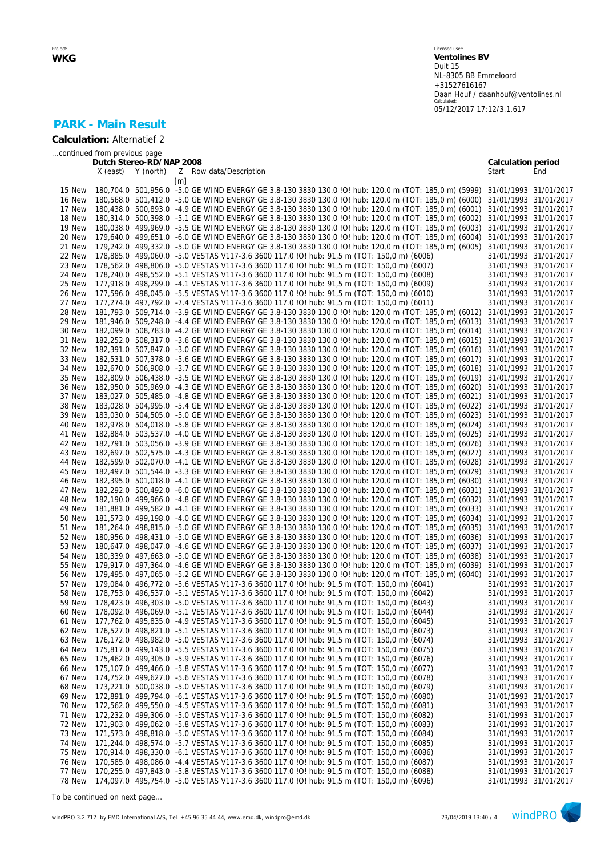Licensed user: **Ventolines BV**  Duit 15 NL-8305 BB Emmeloord +31527616167 Daan Houf / daanhouf@ventolines.nl Calculated: 05/12/2017 17:12/3.1.617

## **PARK - Main Result**

**Calculation:** Alternatief 2

*...continued from previous page*

|        | Dutch Stereo-RD/NAP 2008 |                                                                                                                            | Calculation period    |                       |
|--------|--------------------------|----------------------------------------------------------------------------------------------------------------------------|-----------------------|-----------------------|
|        | Y (north)<br>X (east)    | Z Row data/Description                                                                                                     | Start                 | End                   |
|        |                          | $\lceil m \rceil$                                                                                                          |                       |                       |
| 15 New |                          | 180,704.0 501,956.0 -5.0 GE WIND ENERGY GE 3.8-130 3830 130.0 !O! hub: 120,0 m (TOT: 185,0 m) (5999) 31/01/1993 31/01/2017 |                       |                       |
| 16 New |                          | 180,568.0 501,412.0 -5.0 GE WIND ENERGY GE 3.8-130 3830 130.0 !O! hub: 120,0 m (TOT: 185,0 m) (6000)                       | 31/01/1993 31/01/2017 |                       |
| 17 New |                          | 180,438.0 500,893.0 -4.9 GE WIND ENERGY GE 3.8-130 3830 130.0 !O! hub: 120,0 m (TOT: 185,0 m) (6001)                       | 31/01/1993 31/01/2017 |                       |
| 18 New |                          |                                                                                                                            | 31/01/1993 31/01/2017 |                       |
|        |                          | 180,314.0 500,398.0 -5.1 GE WIND ENERGY GE 3.8-130 3830 130.0 !O! hub: 120,0 m (TOT: 185,0 m) (6002)                       |                       |                       |
| 19 New |                          | 180,038.0 499,969.0 -5.5 GE WIND ENERGY GE 3.8-130 3830 130.0 IO! hub: 120,0 m (TOT: 185,0 m) (6003)                       | 31/01/1993 31/01/2017 |                       |
| 20 New |                          | 179,640.0 499,651.0 -6.0 GE WIND ENERGY GE 3.8-130 3830 130.0 !O! hub: 120,0 m (TOT: 185,0 m) (6004)                       | 31/01/1993 31/01/2017 |                       |
| 21 New |                          | 179,242.0 499,332.0 -5.0 GE WIND ENERGY GE 3.8-130 3830 130.0 !O! hub: 120,0 m (TOT: 185,0 m) (6005)                       | 31/01/1993 31/01/2017 |                       |
| 22 New |                          | 178,885.0 499,060.0 -5.0 VESTAS V117-3.6 3600 117.0 IO! hub: 91,5 m (TOT: 150,0 m) (6006)                                  |                       | 31/01/1993 31/01/2017 |
| 23 New |                          | 178,562.0 498,806.0 -5.0 VESTAS V117-3.6 3600 117.0 IO! hub: 91,5 m (TOT: 150,0 m) (6007)                                  | 31/01/1993 31/01/2017 |                       |
| 24 New |                          | 178,240.0 498,552.0 -5.1 VESTAS V117-3.6 3600 117.0 IO! hub: 91,5 m (TOT: 150,0 m) (6008)                                  |                       | 31/01/1993 31/01/2017 |
| 25 New |                          | 177,918.0 498,299.0 -4.1 VESTAS V117-3.6 3600 117.0 IO! hub: 91,5 m (TOT: 150,0 m) (6009)                                  |                       | 31/01/1993 31/01/2017 |
| 26 New |                          | 177,596.0 498,045.0 -5.5 VESTAS V117-3.6 3600 117.0 !O! hub: 91,5 m (TOT: 150,0 m) (6010)                                  | 31/01/1993 31/01/2017 |                       |
| 27 New |                          | 177,274.0 497,792.0 -7.4 VESTAS V117-3.6 3600 117.0 IO! hub: 91,5 m (TOT: 150,0 m) (6011)                                  | 31/01/1993 31/01/2017 |                       |
| 28 New |                          | 181,793.0 509,714.0 -3.9 GE WIND ENERGY GE 3.8-130 3830 130.0 !O! hub: 120,0 m (TOT: 185,0 m) (6012)                       | 31/01/1993 31/01/2017 |                       |
| 29 New |                          | 181,946.0 509,248.0 -4.4 GE WIND ENERGY GE 3.8-130 3830 130.0 !O! hub: 120,0 m (TOT: 185,0 m) (6013)                       | 31/01/1993 31/01/2017 |                       |
| 30 New |                          | 182,099.0 508,783.0 -4.2 GE WIND ENERGY GE 3.8-130 3830 130.0 IO! hub: 120,0 m (TOT: 185,0 m) (6014)                       | 31/01/1993 31/01/2017 |                       |
|        |                          |                                                                                                                            |                       |                       |
| 31 New |                          | 182,252.0 508,317.0 -3.6 GE WIND ENERGY GE 3.8-130 3830 130.0 IO! hub: 120,0 m (TOT: 185,0 m) (6015)                       | 31/01/1993 31/01/2017 |                       |
| 32 New |                          | 182,391.0 507,847.0 -3.0 GE WIND ENERGY GE 3.8-130 3830 130.0 IO! hub: 120,0 m (TOT: 185,0 m) (6016)                       | 31/01/1993 31/01/2017 |                       |
| 33 New |                          | 182,531.0 507,378.0 -5.6 GE WIND ENERGY GE 3.8-130 3830 130.0 !O! hub: 120,0 m (TOT: 185,0 m) (6017)                       | 31/01/1993 31/01/2017 |                       |
| 34 New |                          | 182,670.0 506,908.0 -3.7 GE WIND ENERGY GE 3.8-130 3830 130.0 !O! hub: 120,0 m (TOT: 185,0 m) (6018)                       | 31/01/1993 31/01/2017 |                       |
| 35 New |                          | 182,809.0 506,438.0 -3.5 GE WIND ENERGY GE 3.8-130 3830 130.0 IO! hub: 120,0 m (TOT: 185,0 m) (6019) 31/01/1993 31/01/2017 |                       |                       |
| 36 New |                          | 182,950.0 505,969.0 -4.3 GE WIND ENERGY GE 3.8-130 3830 130.0 IO! hub: 120,0 m (TOT: 185,0 m) (6020) 31/01/1993 31/01/2017 |                       |                       |
| 37 New |                          | 183,027.0 505,485.0 -4.8 GE WIND ENERGY GE 3.8-130 3830 130.0 !O! hub: 120,0 m (TOT: 185,0 m) (6021) 31/01/1993 31/01/2017 |                       |                       |
| 38 New |                          | 183,028.0 504,995.0 -5.4 GE WIND ENERGY GE 3.8-130 3830 130.0 !O! hub: 120,0 m (TOT: 185,0 m) (6022)                       | 31/01/1993 31/01/2017 |                       |
| 39 New |                          | 183,030.0 504,505.0 -5.0 GE WIND ENERGY GE 3.8-130 3830 130.0 !O! hub: 120,0 m (TOT: 185,0 m) (6023)                       | 31/01/1993 31/01/2017 |                       |
| 40 New |                          | 182,978.0 504,018.0 -5.8 GE WIND ENERGY GE 3.8-130 3830 130.0 !O! hub: 120,0 m (TOT: 185,0 m) (6024)                       | 31/01/1993 31/01/2017 |                       |
| 41 New |                          | 182,884.0 503,537.0 -4.0 GE WIND ENERGY GE 3.8-130 3830 130.0 !O! hub: 120,0 m (TOT: 185,0 m) (6025)                       | 31/01/1993 31/01/2017 |                       |
| 42 New |                          | 182,791.0 503,056.0 -3.9 GE WIND ENERGY GE 3.8-130 3830 130.0 !O! hub: 120,0 m (TOT: 185,0 m) (6026)                       | 31/01/1993 31/01/2017 |                       |
| 43 New |                          | 182,697.0 502,575.0 -4.3 GE WIND ENERGY GE 3.8-130 3830 130.0 !O! hub: 120,0 m (TOT: 185,0 m) (6027)                       | 31/01/1993 31/01/2017 |                       |
| 44 New |                          | 182,599.0 502,070.0 -4.1 GE WIND ENERGY GE 3.8-130 3830 130.0 !O! hub: 120,0 m (TOT: 185,0 m) (6028)                       | 31/01/1993 31/01/2017 |                       |
| 45 New |                          | 182,497.0 501,544.0 -3.3 GE WIND ENERGY GE 3.8-130 3830 130.0 !O! hub: 120,0 m (TOT: 185,0 m) (6029)                       | 31/01/1993 31/01/2017 |                       |
| 46 New |                          | 182,395.0 501,018.0 -4.1 GE WIND ENERGY GE 3.8-130 3830 130.0 IO! hub: 120,0 m (TOT: 185,0 m) (6030)                       | 31/01/1993 31/01/2017 |                       |
| 47 New |                          | 182,292.0 500,492.0 -6.0 GE WIND ENERGY GE 3.8-130 3830 130.0 !O! hub: 120,0 m (TOT: 185,0 m) (6031)                       | 31/01/1993 31/01/2017 |                       |
|        |                          |                                                                                                                            |                       |                       |
| 48 New |                          | 182,190.0 499,966.0 -4.8 GE WIND ENERGY GE 3.8-130 3830 130.0 !O! hub: 120,0 m (TOT: 185,0 m) (6032)                       | 31/01/1993 31/01/2017 |                       |
| 49 New |                          | 181,881.0 499,582.0 -4.1 GE WIND ENERGY GE 3.8-130 3830 130.0 !O! hub: 120,0 m (TOT: 185,0 m) (6033)                       | 31/01/1993 31/01/2017 |                       |
| 50 New |                          | 181,573.0 499,198.0 -4.0 GE WIND ENERGY GE 3.8-130 3830 130.0 !O! hub: 120,0 m (TOT: 185,0 m) (6034)                       | 31/01/1993 31/01/2017 |                       |
| 51 New |                          | 181,264.0 498,815.0 -5.0 GE WIND ENERGY GE 3.8-130 3830 130.0 !O! hub: 120,0 m (TOT: 185,0 m) (6035)                       | 31/01/1993 31/01/2017 |                       |
| 52 New |                          | 180,956.0 498,431.0 -5.0 GE WIND ENERGY GE 3.8-130 3830 130.0 IO! hub: 120,0 m (TOT: 185,0 m) (6036)                       | 31/01/1993 31/01/2017 |                       |
| 53 New |                          | 180,647.0 498,047.0 -4.6 GE WIND ENERGY GE 3.8-130 3830 130.0 IO! hub: 120,0 m (TOT: 185,0 m) (6037)                       | 31/01/1993 31/01/2017 |                       |
| 54 New |                          | 180,339.0 497,663.0 -5.0 GE WIND ENERGY GE 3.8-130 3830 130.0 !O! hub: 120,0 m (TOT: 185,0 m) (6038)                       | 31/01/1993 31/01/2017 |                       |
| 55 New |                          | 179,917.0 497,364.0 -4.6 GE WIND ENERGY GE 3.8-130 3830 130.0 !O! hub: 120,0 m (TOT: 185,0 m) (6039)                       | 31/01/1993 31/01/2017 |                       |
| 56 New |                          | 179,495.0 497,065.0 -5.2 GE WIND ENERGY GE 3.8-130 3830 130.0 !O! hub: 120,0 m (TOT: 185,0 m) (6040)                       | 31/01/1993 31/01/2017 |                       |
| 57 New |                          | 179,084.0 496,772.0 -5.6 VESTAS V117-3.6 3600 117.0 IO! hub: 91,5 m (TOT: 150,0 m) (6041)                                  |                       | 31/01/1993 31/01/2017 |
| 58 New |                          | 178,753.0 496,537.0 -5.1 VESTAS V117-3.6 3600 117.0 IO! hub: 91,5 m (TOT: 150,0 m) (6042)                                  | 31/01/1993 31/01/2017 |                       |
| 59 New |                          | 178,423.0 496,303.0 -5.0 VESTAS V117-3.6 3600 117.0 IO! hub: 91,5 m (TOT: 150,0 m) (6043)                                  | 31/01/1993 31/01/2017 |                       |
| 60 New |                          | 178,092.0 496,069.0 -5.1 VESTAS V117-3.6 3600 117.0 !O! hub: 91,5 m (TOT: 150,0 m) (6044)                                  | 31/01/1993 31/01/2017 |                       |
| 61 New |                          | 177,762.0 495,835.0 -4.9 VESTAS V117-3.6 3600 117.0 !O! hub: 91,5 m (TOT: 150,0 m) (6045)                                  |                       | 31/01/1993 31/01/2017 |
| 62 New |                          | 176,527.0 498,821.0 -5.1 VESTAS V117-3.6 3600 117.0 IO! hub: 91,5 m (TOT: 150,0 m) (6073)                                  | 31/01/1993 31/01/2017 |                       |
| 63 New |                          | 176,172.0 498,982.0 -5.0 VESTAS V117-3.6 3600 117.0 IO! hub: 91,5 m (TOT: 150,0 m) (6074)                                  |                       | 31/01/1993 31/01/2017 |
| 64 New |                          | 175,817.0 499,143.0 -5.5 VESTAS V117-3.6 3600 117.0 IO! hub: 91,5 m (TOT: 150,0 m) (6075)                                  | 31/01/1993 31/01/2017 |                       |
| 65 New |                          | 175,462.0 499,305.0 -5.9 VESTAS V117-3.6 3600 117.0 IO! hub: 91,5 m (TOT: 150,0 m) (6076)                                  |                       | 31/01/1993 31/01/2017 |
| 66 New |                          | 175,107.0 499,466.0 -5.8 VESTAS V117-3.6 3600 117.0 ! O! hub: 91,5 m (TOT: 150,0 m) (6077)                                 |                       | 31/01/1993 31/01/2017 |
|        |                          |                                                                                                                            |                       |                       |
| 67 New |                          | 174,752.0 499,627.0 -5.6 VESTAS V117-3.6 3600 117.0 ! O! hub: 91,5 m (TOT: 150,0 m) (6078)                                 |                       | 31/01/1993 31/01/2017 |
| 68 New |                          | 173,221.0 500,038.0 -5.0 VESTAS V117-3.6 3600 117.0 !O! hub: 91,5 m (TOT: 150,0 m) (6079)                                  | 31/01/1993 31/01/2017 |                       |
| 69 New |                          | 172,891.0 499,794.0 -6.1 VESTAS V117-3.6 3600 117.0 !O! hub: 91,5 m (TOT: 150,0 m) (6080)                                  | 31/01/1993 31/01/2017 |                       |
| 70 New |                          | 172,562.0 499,550.0 -4.5 VESTAS V117-3.6 3600 117.0 !O! hub: 91,5 m (TOT: 150,0 m) (6081)                                  |                       | 31/01/1993 31/01/2017 |
| 71 New |                          | 172,232.0 499,306.0 -5.0 VESTAS V117-3.6 3600 117.0 ! O! hub: 91,5 m (TOT: 150,0 m) (6082)                                 | 31/01/1993 31/01/2017 |                       |
| 72 New |                          | 171,903.0 499,062.0 -5.8 VESTAS V117-3.6 3600 117.0 !O! hub: 91,5 m (TOT: 150,0 m) (6083)                                  |                       | 31/01/1993 31/01/2017 |
| 73 New |                          | 171,573.0 498,818.0 -5.0 VESTAS V117-3.6 3600 117.0 ! O! hub: 91,5 m (TOT: 150,0 m) (6084)                                 | 31/01/1993 31/01/2017 |                       |
| 74 New |                          | 171,244.0 498,574.0 -5.7 VESTAS V117-3.6 3600 117.0 IO! hub: 91,5 m (TOT: 150,0 m) (6085)                                  | 31/01/1993 31/01/2017 |                       |
| 75 New |                          | 170,914.0 498,330.0 -6.1 VESTAS V117-3.6 3600 117.0 IO! hub: 91,5 m (TOT: 150,0 m) (6086)                                  | 31/01/1993 31/01/2017 |                       |
| 76 New |                          | 170,585.0 498,086.0 -4.4 VESTAS V117-3.6 3600 117.0 IO! hub: 91,5 m (TOT: 150,0 m) (6087)                                  |                       | 31/01/1993 31/01/2017 |
| 77 New |                          | 170,255.0 497,843.0 -5.8 VESTAS V117-3.6 3600 117.0 IO! hub: 91,5 m (TOT: 150,0 m) (6088)                                  | 31/01/1993 31/01/2017 |                       |
| 78 New |                          | 174,097.0 495,754.0 -5.0 VESTAS V117-3.6 3600 117.0 !O! hub: 91,5 m (TOT: 150,0 m) (6096)                                  | 31/01/1993 31/01/2017 |                       |

*To be continued on next page...*



Project: **WKG**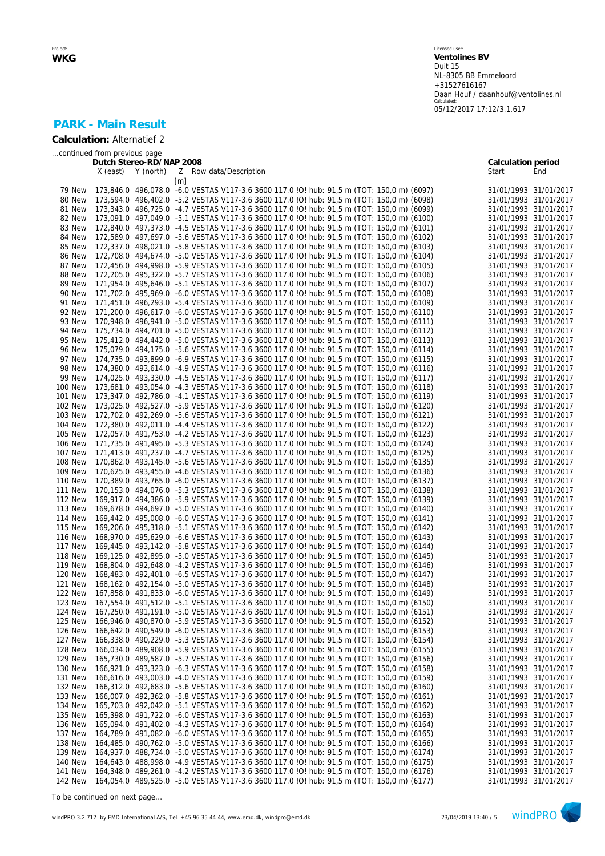# **PARK - Main Result**

**Calculation:** Alternatief 2

*...continued from previous page*

|                           |          | Dutch Stereo-RD/NAP 2008 |                   |                                                                                                                                                                                        | Calculation period    |                       |
|---------------------------|----------|--------------------------|-------------------|----------------------------------------------------------------------------------------------------------------------------------------------------------------------------------------|-----------------------|-----------------------|
|                           | X (east) | Y (north)                |                   | Z Row data/Description                                                                                                                                                                 | Start                 | End                   |
|                           |          |                          | $\lceil m \rceil$ |                                                                                                                                                                                        |                       |                       |
| 79 New                    |          |                          |                   | 173,846.0 496,078.0 -6.0 VESTAS V117-3.6 3600 117.0 IO! hub: 91,5 m (TOT: 150,0 m) (6097)                                                                                              | 31/01/1993 31/01/2017 |                       |
| 80 New                    |          |                          |                   | 173,594.0 496,402.0 -5.2 VESTAS V117-3.6 3600 117.0 !O! hub: 91,5 m (TOT: 150,0 m) (6098)                                                                                              |                       | 31/01/1993 31/01/2017 |
| 81 New                    |          |                          |                   | 173,343.0 496,725.0 -4.7 VESTAS V117-3.6 3600 117.0 !O! hub: 91,5 m (TOT: 150,0 m) (6099)                                                                                              | 31/01/1993 31/01/2017 |                       |
| 82 New                    |          |                          |                   | 173,091.0 497,049.0 -5.1 VESTAS V117-3.6 3600 117.0 !O! hub: 91,5 m (TOT: 150,0 m) (6100)                                                                                              | 31/01/1993 31/01/2017 |                       |
| 83 New                    |          |                          |                   | 172,840.0 497,373.0 -4.5 VESTAS V117-3.6 3600 117.0 !O! hub: 91,5 m (TOT: 150,0 m) (6101)                                                                                              | 31/01/1993 31/01/2017 |                       |
| 84 New                    |          |                          |                   | 172,589.0 497,697.0 -5.6 VESTAS V117-3.6 3600 117.0 !O! hub: 91,5 m (TOT: 150,0 m) (6102)                                                                                              | 31/01/1993 31/01/2017 |                       |
| 85 New                    |          |                          |                   | 172,337.0 498,021.0 -5.8 VESTAS V117-3.6 3600 117.0 !O! hub: 91,5 m (TOT: 150,0 m) (6103)                                                                                              | 31/01/1993 31/01/2017 |                       |
| 86 New                    |          |                          |                   | 172,708.0 494,674.0 -5.0 VESTAS V117-3.6 3600 117.0 !O! hub: 91,5 m (TOT: 150,0 m) (6104)                                                                                              | 31/01/1993 31/01/2017 |                       |
| 87 New                    |          |                          |                   | 172,456.0 494,998.0 -5.9 VESTAS V117-3.6 3600 117.0 !O! hub: 91,5 m (TOT: 150,0 m) (6105)                                                                                              | 31/01/1993 31/01/2017 |                       |
| 88 New                    |          |                          |                   | 172,205.0 495,322.0 -5.7 VESTAS V117-3.6 3600 117.0 !O! hub: 91,5 m (TOT: 150,0 m) (6106)                                                                                              | 31/01/1993 31/01/2017 |                       |
| 89 New                    |          |                          |                   | 171,954.0 495,646.0 -5.1 VESTAS V117-3.6 3600 117.0 !O! hub: 91,5 m (TOT: 150,0 m) (6107)                                                                                              | 31/01/1993 31/01/2017 |                       |
| 90 New                    |          |                          |                   | 171,702.0 495,969.0 -6.0 VESTAS V117-3.6 3600 117.0 !O! hub: 91,5 m (TOT: 150,0 m) (6108)                                                                                              | 31/01/1993 31/01/2017 |                       |
| 91 New                    |          |                          |                   | 171,451.0 496,293.0 -5.4 VESTAS V117-3.6 3600 117.0 IO! hub: 91,5 m (TOT: 150,0 m) (6109)                                                                                              | 31/01/1993 31/01/2017 |                       |
| 92 New                    |          |                          |                   | 171,200.0 496,617.0 -6.0 VESTAS V117-3.6 3600 117.0 !O! hub: 91,5 m (TOT: 150,0 m) (6110)                                                                                              | 31/01/1993 31/01/2017 |                       |
|                           |          |                          |                   |                                                                                                                                                                                        |                       |                       |
| 93 New                    |          |                          |                   | 170,948.0 496,941.0 -5.0 VESTAS V117-3.6 3600 117.0 !O! hub: 91,5 m (TOT: 150,0 m) (6111)                                                                                              | 31/01/1993 31/01/2017 |                       |
| 94 New                    |          |                          |                   | 175,734.0 494,701.0 -5.0 VESTAS V117-3.6 3600 117.0 !O! hub: 91,5 m (TOT: 150,0 m) (6112)                                                                                              | 31/01/1993 31/01/2017 |                       |
| 95 New                    |          |                          |                   | 175,412.0 494,442.0 -5.0 VESTAS V117-3.6 3600 117.0 !O! hub: 91,5 m (TOT: 150,0 m) (6113)                                                                                              | 31/01/1993 31/01/2017 |                       |
| 96 New                    |          |                          |                   | 175,079.0 494,175.0 -5.6 VESTAS V117-3.6 3600 117.0 !O! hub: 91,5 m (TOT: 150,0 m) (6114)                                                                                              | 31/01/1993 31/01/2017 |                       |
| 97 New                    |          |                          |                   | 174,735.0 493,899.0 -6.9 VESTAS V117-3.6 3600 117.0 !O! hub: 91,5 m (TOT: 150,0 m) (6115)                                                                                              | 31/01/1993 31/01/2017 |                       |
| 98 New                    |          |                          |                   | 174,380.0 493,614.0 -4.9 VESTAS V117-3.6 3600 117.0 IO! hub: 91,5 m (TOT: 150,0 m) (6116)                                                                                              | 31/01/1993 31/01/2017 |                       |
| 99 New                    |          |                          |                   | 174,025.0 493,330.0 -4.5 VESTAS V117-3.6 3600 117.0 IO! hub: 91,5 m (TOT: 150,0 m) (6117)                                                                                              | 31/01/1993 31/01/2017 |                       |
| <b>100 New</b>            |          |                          |                   | 173,681.0 493,054.0 -4.3 VESTAS V117-3.6 3600 117.0 IO! hub: 91,5 m (TOT: 150,0 m) (6118)                                                                                              | 31/01/1993 31/01/2017 |                       |
| <b>101 New</b>            |          |                          |                   | 173,347.0 492,786.0 -4.1 VESTAS V117-3.6 3600 117.0 !O! hub: 91,5 m (TOT: 150,0 m) (6119)                                                                                              | 31/01/1993 31/01/2017 |                       |
| <b>102 New</b>            |          |                          |                   | 173,025.0 492,527.0 -5.9 VESTAS V117-3.6 3600 117.0 !O! hub: 91,5 m (TOT: 150,0 m) (6120)                                                                                              | 31/01/1993 31/01/2017 |                       |
| <b>103 New</b>            |          |                          |                   | 172,702.0 492,269.0 -5.6 VESTAS V117-3.6 3600 117.0 !O! hub: 91,5 m (TOT: 150,0 m) (6121)                                                                                              | 31/01/1993 31/01/2017 |                       |
| <b>104 New</b>            |          |                          |                   | 172,380.0 492,011.0 -4.4 VESTAS V117-3.6 3600 117.0 !O! hub: 91,5 m (TOT: 150,0 m) (6122)                                                                                              | 31/01/1993 31/01/2017 |                       |
| <b>105 New</b>            |          |                          |                   | 172,057.0 491,753.0 -4.2 VESTAS V117-3.6 3600 117.0 !O! hub: 91,5 m (TOT: 150,0 m) (6123)                                                                                              | 31/01/1993 31/01/2017 |                       |
| <b>106 New</b>            |          |                          |                   | 171,735.0 491,495.0 -5.3 VESTAS V117-3.6 3600 117.0 !O! hub: 91,5 m (TOT: 150,0 m) (6124)                                                                                              | 31/01/1993 31/01/2017 |                       |
| <b>107 New</b>            |          |                          |                   | 171,413.0 491,237.0 -4.7 VESTAS V117-3.6 3600 117.0 !O! hub: 91,5 m (TOT: 150,0 m) (6125)                                                                                              | 31/01/1993 31/01/2017 |                       |
| <b>108 New</b>            |          |                          |                   | 170,862.0 493,145.0 -5.6 VESTAS V117-3.6 3600 117.0 !O! hub: 91,5 m (TOT: 150,0 m) (6135)                                                                                              | 31/01/1993 31/01/2017 |                       |
| <b>109 New</b>            |          |                          |                   | 170,625.0 493,455.0 -4.6 VESTAS V117-3.6 3600 117.0 !O! hub: 91,5 m (TOT: 150,0 m) (6136)                                                                                              | 31/01/1993 31/01/2017 |                       |
| <b>110 New</b>            |          |                          |                   | 170,389.0 493,765.0 -6.0 VESTAS V117-3.6 3600 117.0 !O! hub: 91,5 m (TOT: 150,0 m) (6137)                                                                                              | 31/01/1993 31/01/2017 |                       |
| <b>111 New</b>            |          |                          |                   | 170,153.0 494,076.0 -5.3 VESTAS V117-3.6 3600 117.0 !O! hub: 91,5 m (TOT: 150,0 m) (6138)                                                                                              | 31/01/1993 31/01/2017 |                       |
| <b>112 New</b>            |          |                          |                   | 169,917.0 494,386.0 -5.9 VESTAS V117-3.6 3600 117.0 !O! hub: 91,5 m (TOT: 150,0 m) (6139)                                                                                              | 31/01/1993 31/01/2017 |                       |
| <b>113 New</b>            |          |                          |                   | 169,678.0 494,697.0 -5.0 VESTAS V117-3.6 3600 117.0 !O! hub: 91,5 m (TOT: 150,0 m) (6140)                                                                                              | 31/01/1993 31/01/2017 |                       |
| <b>114 New</b>            |          |                          |                   | 169,442.0 495,008.0 -6.0 VESTAS V117-3.6 3600 117.0 !O! hub: 91,5 m (TOT: 150,0 m) (6141)                                                                                              | 31/01/1993 31/01/2017 |                       |
| <b>115 New</b>            |          |                          |                   | 169,206.0 495,318.0 -5.1 VESTAS V117-3.6 3600 117.0 !O! hub: 91,5 m (TOT: 150,0 m) (6142)                                                                                              | 31/01/1993 31/01/2017 |                       |
| <b>116 New</b>            |          |                          |                   | 168,970.0 495,629.0 -6.6 VESTAS V117-3.6 3600 117.0 IO! hub: 91,5 m (TOT: 150,0 m) (6143)                                                                                              | 31/01/1993 31/01/2017 |                       |
| <b>117 New</b>            |          |                          |                   | 169,445.0 493,142.0 -5.8 VESTAS V117-3.6 3600 117.0 !O! hub: 91,5 m (TOT: 150,0 m) (6144)                                                                                              | 31/01/1993 31/01/2017 |                       |
| <b>118 New</b>            |          |                          |                   | 169,125.0 492,895.0 -5.0 VESTAS V117-3.6 3600 117.0 !O! hub: 91,5 m (TOT: 150,0 m) (6145)                                                                                              | 31/01/1993 31/01/2017 |                       |
| <b>119 New</b>            |          |                          |                   | 168,804.0 492,648.0 -4.2 VESTAS V117-3.6 3600 117.0 !O! hub: 91,5 m (TOT: 150,0 m) (6146)                                                                                              | 31/01/1993 31/01/2017 |                       |
| <b>120 New</b>            |          |                          |                   | 168,483.0 492,401.0 -6.5 VESTAS V117-3.6 3600 117.0 ! O! hub: 91,5 m (TOT: 150,0 m) (6147)                                                                                             | 31/01/1993 31/01/2017 |                       |
| <b>121 New</b>            |          |                          |                   | 168,162.0 492,154.0 -5.0 VESTAS V117-3.6 3600 117.0 !O! hub: 91,5 m (TOT: 150,0 m) (6148)                                                                                              | 31/01/1993 31/01/2017 |                       |
| 122 New                   |          |                          |                   | 167,858.0 491,833.0 -6.0 VESTAS V117-3.6 3600 117.0 !O! hub: 91,5 m (TOT: 150,0 m) (6149)                                                                                              | 31/01/1993 31/01/2017 |                       |
| <b>123 New</b>            |          |                          |                   | 167,554.0 491,512.0 -5.1 VESTAS V117-3.6 3600 117.0 !O! hub: 91,5 m (TOT: 150,0 m) (6150)                                                                                              | 31/01/1993 31/01/2017 |                       |
| <b>124 New</b>            |          |                          |                   | 167,250.0 491,191.0 -5.0 VESTAS V117-3.6 3600 117.0 !O! hub: 91,5 m (TOT: 150,0 m) (6151)                                                                                              | 31/01/1993 31/01/2017 |                       |
| <b>125 New</b>            |          |                          |                   | 166,946.0 490,870.0 -5.9 VESTAS V117-3.6 3600 117.0 !O! hub: 91,5 m (TOT: 150,0 m) (6152)                                                                                              |                       | 31/01/1993 31/01/2017 |
| <b>126 New</b>            |          |                          |                   | 166,642.0 490,549.0 -6.0 VESTAS V117-3.6 3600 117.0 !O! hub: 91,5 m (TOT: 150,0 m) (6153)                                                                                              | 31/01/1993 31/01/2017 |                       |
| <b>127 New</b>            |          |                          |                   | 166,338.0 490,229.0 -5.3 VESTAS V117-3.6 3600 117.0 IO! hub: 91,5 m (TOT: 150,0 m) (6154)                                                                                              |                       | 31/01/1993 31/01/2017 |
| <b>128 New</b>            |          |                          |                   | 166,034.0 489,908.0 -5.9 VESTAS V117-3.6 3600 117.0 IO! hub: 91,5 m (TOT: 150,0 m) (6155)                                                                                              | 31/01/1993 31/01/2017 |                       |
| 129 New                   |          |                          |                   | 165,730.0 489,587.0 -5.7 VESTAS V117-3.6 3600 117.0 IO! hub: 91,5 m (TOT: 150,0 m) (6156)                                                                                              |                       | 31/01/1993 31/01/2017 |
| <b>130 New</b>            |          |                          |                   | 166,921.0 493,323.0 -6.3 VESTAS V117-3.6 3600 117.0 IO! hub: 91,5 m (TOT: 150,0 m) (6158)                                                                                              | 31/01/1993 31/01/2017 |                       |
| <b>131 New</b>            |          |                          |                   | 166,616.0 493,003.0 -4.0 VESTAS V117-3.6 3600 117.0 !O! hub: 91,5 m (TOT: 150,0 m) (6159)                                                                                              |                       | 31/01/1993 31/01/2017 |
| <b>132 New</b>            |          |                          |                   | 166,312.0 492,683.0 -5.6 VESTAS V117-3.6 3600 117.0 ! O! hub: 91,5 m (TOT: 150,0 m) (6160)                                                                                             | 31/01/1993 31/01/2017 |                       |
| 133 New                   |          |                          |                   | 166,007.0 492,362.0 -5.8 VESTAS V117-3.6 3600 117.0 IO! hub: 91,5 m (TOT: 150,0 m) (6161)                                                                                              | 31/01/1993 31/01/2017 |                       |
| 134 New                   |          |                          |                   | 165,703.0 492,042.0 -5.1 VESTAS V117-3.6 3600 117.0 !O! hub: 91,5 m (TOT: 150,0 m) (6162)                                                                                              | 31/01/1993 31/01/2017 |                       |
| <b>135 New</b>            |          |                          |                   | 165,398.0 491,722.0 -6.0 VESTAS V117-3.6 3600 117.0 IO! hub: 91,5 m (TOT: 150,0 m) (6163)                                                                                              |                       |                       |
|                           |          |                          |                   |                                                                                                                                                                                        | 31/01/1993 31/01/2017 |                       |
| <b>136 New</b>            |          |                          |                   | 165,094.0 491,402.0 -4.3 VESTAS V117-3.6 3600 117.0 IO! hub: 91,5 m (TOT: 150,0 m) (6164)                                                                                              | 31/01/1993 31/01/2017 |                       |
| <b>137 New</b>            |          |                          |                   | 164,789.0 491,082.0 -6.0 VESTAS V117-3.6 3600 117.0 IO! hub: 91,5 m (TOT: 150,0 m) (6165)                                                                                              |                       | 31/01/1993 31/01/2017 |
| <b>138 New</b>            |          |                          |                   | 164,485.0 490,762.0 -5.0 VESTAS V117-3.6 3600 117.0 !O! hub: 91,5 m (TOT: 150,0 m) (6166)                                                                                              |                       | 31/01/1993 31/01/2017 |
| <b>139 New</b>            |          |                          |                   | 164,937.0 488,734.0 -5.0 VESTAS V117-3.6 3600 117.0 IO! hub: 91,5 m (TOT: 150,0 m) (6174)                                                                                              | 31/01/1993 31/01/2017 |                       |
| 140 New                   |          |                          |                   | 164,643.0 488,998.0 -4.9 VESTAS V117-3.6 3600 117.0 !O! hub: 91,5 m (TOT: 150,0 m) (6175)                                                                                              | 31/01/1993 31/01/2017 |                       |
| 141 New<br><b>142 New</b> |          |                          |                   | 164,348.0 489,261.0 -4.2 VESTAS V117-3.6 3600 117.0 IO! hub: 91,5 m (TOT: 150,0 m) (6176)<br>164,054.0 489,525.0 -5.0 VESTAS V117-3.6 3600 117.0 !O! hub: 91,5 m (TOT: 150,0 m) (6177) | 31/01/1993 31/01/2017 | 31/01/1993 31/01/2017 |
|                           |          |                          |                   |                                                                                                                                                                                        |                       |                       |